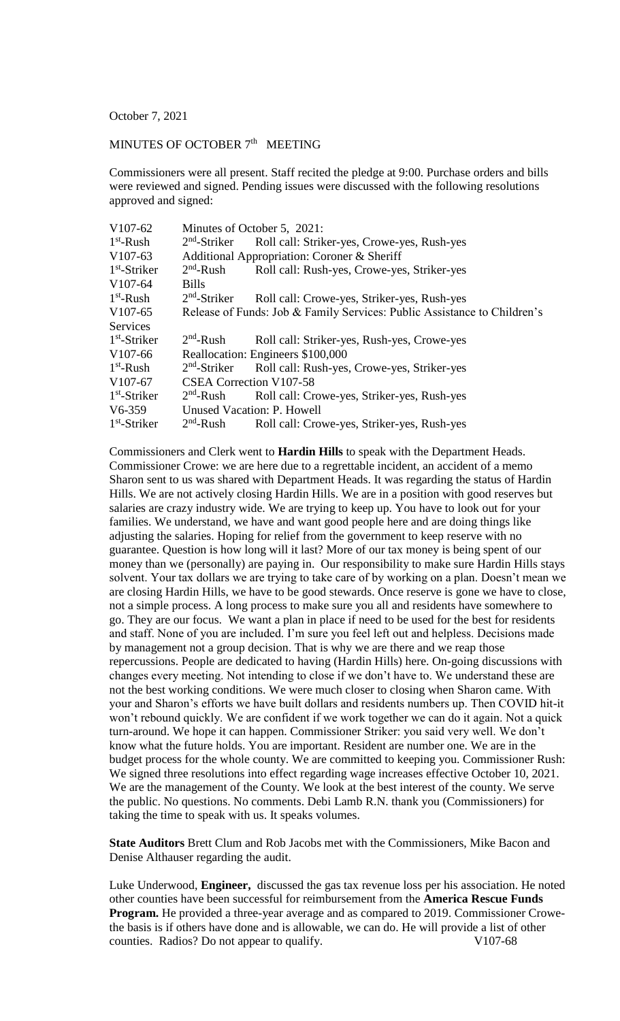October 7, 2021

## MINUTES OF OCTOBER 7<sup>th</sup> MEETING

Commissioners were all present. Staff recited the pledge at 9:00. Purchase orders and bills were reviewed and signed. Pending issues were discussed with the following resolutions approved and signed:

| V <sub>107</sub> -62 | Minutes of October 5, 2021:                                              |                                             |
|----------------------|--------------------------------------------------------------------------|---------------------------------------------|
| $1st$ -Rush          | $2nd$ -Striker                                                           | Roll call: Striker-yes, Crowe-yes, Rush-yes |
| $V107-63$            | Additional Appropriation: Coroner & Sheriff                              |                                             |
| $1st$ -Striker       | $2nd$ -Rush                                                              | Roll call: Rush-yes, Crowe-yes, Striker-yes |
| $V107-64$            | <b>Bills</b>                                                             |                                             |
| $1st$ -Rush          | $2nd$ -Striker                                                           | Roll call: Crowe-yes, Striker-yes, Rush-yes |
| V <sub>107</sub> -65 | Release of Funds: Job & Family Services: Public Assistance to Children's |                                             |
| <b>Services</b>      |                                                                          |                                             |
| $1st$ -Striker       | $2nd$ -Rush                                                              | Roll call: Striker-yes, Rush-yes, Crowe-yes |
| V <sub>107</sub> -66 | Reallocation: Engineers \$100,000                                        |                                             |
| $1st$ -Rush          | $2nd$ -Striker                                                           | Roll call: Rush-yes, Crowe-yes, Striker-yes |
| V107-67              | <b>CSEA Correction V107-58</b>                                           |                                             |
| $1st$ -Striker       | $2nd$ -Rush                                                              | Roll call: Crowe-yes, Striker-yes, Rush-yes |
| $V6-359$             | <b>Unused Vacation: P. Howell</b>                                        |                                             |
| $1st$ -Striker       | $2nd$ -Rush                                                              | Roll call: Crowe-yes, Striker-yes, Rush-yes |
|                      |                                                                          |                                             |

Commissioners and Clerk went to **Hardin Hills** to speak with the Department Heads. Commissioner Crowe: we are here due to a regrettable incident, an accident of a memo Sharon sent to us was shared with Department Heads. It was regarding the status of Hardin Hills. We are not actively closing Hardin Hills. We are in a position with good reserves but salaries are crazy industry wide. We are trying to keep up. You have to look out for your families. We understand, we have and want good people here and are doing things like adjusting the salaries. Hoping for relief from the government to keep reserve with no guarantee. Question is how long will it last? More of our tax money is being spent of our money than we (personally) are paying in. Our responsibility to make sure Hardin Hills stays solvent. Your tax dollars we are trying to take care of by working on a plan. Doesn't mean we are closing Hardin Hills, we have to be good stewards. Once reserve is gone we have to close, not a simple process. A long process to make sure you all and residents have somewhere to go. They are our focus. We want a plan in place if need to be used for the best for residents and staff. None of you are included. I'm sure you feel left out and helpless. Decisions made by management not a group decision. That is why we are there and we reap those repercussions. People are dedicated to having (Hardin Hills) here. On-going discussions with changes every meeting. Not intending to close if we don't have to. We understand these are not the best working conditions. We were much closer to closing when Sharon came. With your and Sharon's efforts we have built dollars and residents numbers up. Then COVID hit-it won't rebound quickly. We are confident if we work together we can do it again. Not a quick turn-around. We hope it can happen. Commissioner Striker: you said very well. We don't know what the future holds. You are important. Resident are number one. We are in the budget process for the whole county. We are committed to keeping you. Commissioner Rush: We signed three resolutions into effect regarding wage increases effective October 10, 2021. We are the management of the County. We look at the best interest of the county. We serve the public. No questions. No comments. Debi Lamb R.N. thank you (Commissioners) for taking the time to speak with us. It speaks volumes.

**State Auditors** Brett Clum and Rob Jacobs met with the Commissioners, Mike Bacon and Denise Althauser regarding the audit.

Luke Underwood, **Engineer,** discussed the gas tax revenue loss per his association. He noted other counties have been successful for reimbursement from the **America Rescue Funds Program.** He provided a three-year average and as compared to 2019. Commissioner Crowethe basis is if others have done and is allowable, we can do. He will provide a list of other counties. Radios? Do not appear to qualify. V107-68